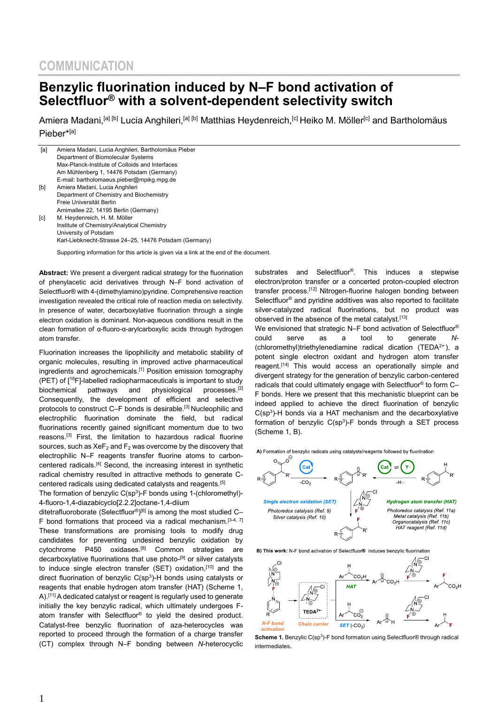## **Benzylic fluorination induced by N–F bond activation of Selectfluor® with a solvent-dependent selectivity switch**

Amiera Madani,<sup>[a] [b]</sup> Lucia Anghileri,<sup>[a] [b]</sup> Matthias Heydenreich,<sup>[c]</sup> Heiko M. Möller<sup>[c]</sup> and Bartholomäus Pieber\*[a]

| [a] | Amiera Madani, Lucia Anghileri, Bartholomäus Pieber    |
|-----|--------------------------------------------------------|
|     | Department of Biomolecular Systems                     |
|     | Max-Planck-Institute of Colloids and Interfaces        |
|     | Am Mühlenberg 1, 14476 Potsdam (Germany)               |
|     | E-mail: bartholomaeus.pieber@mpikg.mpg.de              |
| [b] | Amiera Madani, Lucia Anghileri                         |
|     | Department of Chemistry and Biochemistry               |
|     | Freie Universität Berlin                               |
|     | Arnimallee 22, 14195 Berlin (Germany)                  |
| [c] | M. Heydenreich, H. M. Möller                           |
|     | Institute of Chemistry/Analytical Chemistry            |
|     | University of Potsdam                                  |
|     | Karl-Liebknecht-Strasse 24–25, 14476 Potsdam (Germany) |
|     |                                                        |

Supporting information for this article is given via a link at the end of the document.

**Abstract:** We present a divergent radical strategy for the fluorination of phenylacetic acid derivatives through N–F bond activation of Selectfluor® with 4-(dimethylamino)pyridine. Comprehensive reaction investigation revealed the critical role of reaction media on selectivity. In presence of water, decarboxylative fluorination through a single electron oxidation is dominant. Non-aqueous conditions result in the clean formation of α-fluoro-α-arylcarboxylic acids through hydrogen atom transfer.

Fluorination increases the lipophilicity and metabolic stability of organic molecules, resulting in improved active pharmaceutical ingredients and agrochemicals. [1] Position emission tomography (PET) of [<sup>18</sup>F]-labelled radiopharmaceuticals is important to study biochemical pathways and physiological processes.[2] Consequently, the development of efficient and selective protocols to construct C–F bonds is desirable. [3] Nucleophilic and electrophilic fluorination dominate the field, but radical fluorinations recently gained significant momentum due to two reasons. [3] First, the limitation to hazardous radical fluorine sources, such as  $XeF_2$  and  $F_2$  was overcome by the discovery that electrophilic N–F reagents transfer fluorine atoms to carboncentered radicals.<sup>[4]</sup> Second, the increasing interest in synthetic radical chemistry resulted in attractive methods to generate Ccentered radicals using dedicated catalysts and reagents.[5]

The formation of benzylic  $C(sp^3)$ -F bonds using 1-(chloromethyl)-4-fluoro-1,4-diazabicyclo[2.2.2]octane-1,4-diium

ditetrafluoroborate (Selectfluor®)<sup>[6]</sup> is among the most studied C– F bond formations that proceed via a radical mechanism.  $[3-4, 7]$ These transformations are promising tools to modify drug candidates for preventing undesired benzylic oxidation by cytochrome P450 oxidases.[8] Common strategies are decarboxylative fluorinations that use photo- [9] or silver catalysts to induce single electron transfer (SET) oxidation,<sup>[10]</sup> and the direct fluorination of benzylic  $C(sp^3)$ -H bonds using catalysts or reagents that enable hydrogen atom transfer (HAT) (Scheme 1, A).<sup>[11]</sup> A dedicated catalyst or reagent is regularly used to generate initially the key benzylic radical, which ultimately undergoes Fatom transfer with Selectfluor® to yield the desired product. Catalyst-free benzylic fluorination of aza-heterocycles was reported to proceed through the formation of a charge transfer (CT) complex through N–F bonding between *N*-heterocyclic

substrates and Selectfluor®. This induces a stepwise electron/proton transfer or a concerted proton-coupled electron transfer process. [12] Nitrogen-fluorine halogen bonding between Selectfluor® and pyridine additives was also reported to facilitate silver-catalyzed radical fluorinations, but no product was observed in the absence of the metal catalyst.<sup>[13]</sup> We envisioned that strategic N–F bond activation of Selectfluor® could serve as a tool to generate *N*- (chloromethyl)triethylenediamine radical dication (TEDA2+∙ ), a potent single electron oxidant and hydrogen atom transfer reagent.<sup>[14]</sup> This would access an operationally simple and divergent strategy for the generation of benzylic carbon-centered radicals that could ultimately engage with Selectfluor® to form C– F bonds. Here we present that this mechanistic blueprint can be indeed applied to achieve the direct fluorination of benzylic  $C(sp<sup>3</sup>)$ -H bonds via a HAT mechanism and the decarboxylative formation of benzylic  $C(sp^3)$ -F bonds through a SET process (Scheme 1, B).

A) Formation of benzylic radicals using catalysts/reagents followed by fluorination



B) This work: N-F bond activation of Selectfluor® induces benzylic fluorination



**Scheme 1.** Benzylic C(sp<sup>3</sup>)-F bond formation using Selectfluor® through radical intermediates.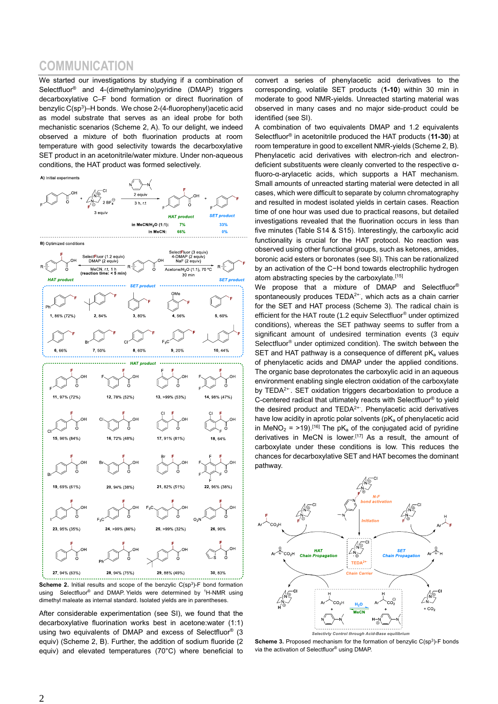## **COMMUNICATION**

We started our investigations by studying if a combination of Selectfluor® and 4-(dimethylamino)pyridine (DMAP) triggers decarboxylative C–F bond formation or direct fluorination of benzylic C(sp<sup>3</sup>)–H bonds. We chose 2-(4-fluorophenyl)acetic acid as model substrate that serves as an ideal probe for both mechanistic scenarios (Scheme 2, A). To our delight, we indeed observed a mixture of both fluorination products at room temperature with good selectivity towards the decarboxylative SET product in an acetonitrile/water mixture. Under non-aqueous conditions, the HAT product was formed selectively.

A) Initial experiments







**Scheme 2.** Initial results and scope of the benzylic  $C(sp^3)$ -F bond formation using Selectfluor<sup>®</sup> and DMAP. Yields were determined by <sup>1</sup>H-NMR using dimethyl maleate as internal standard. Isolated yields are in parentheses.

After considerable experimentation (see SI), we found that the decarboxylative fluorination works best in acetone:water (1:1) using two equivalents of DMAP and excess of Selectfluor® (3 equiv) (Scheme 2, B). Further, the addition of sodium fluoride (2 equiv) and elevated temperatures (70°C) where beneficial to convert a series of phenylacetic acid derivatives to the corresponding, volatile SET products (**1-10**) within 30 min in moderate to good NMR-yields. Unreacted starting material was observed in many cases and no major side-product could be identified (see SI).

A combination of two equivalents DMAP and 1.2 equivalents Selectfluor® in acetonitrile produced the HAT products (**11-30**) at room temperature in good to excellent NMR-yields (Scheme 2, B). Phenylacetic acid derivatives with electron-rich and electrondeficient substituents were cleanly converted to the respective αfluoro-α-arylacetic acids, which supports a HAT mechanism. Small amounts of unreacted starting material were detected in all cases, which were difficult to separate by column chromatography and resulted in modest isolated yields in certain cases. Reaction time of one hour was used due to practical reasons, but detailed investigations revealed that the fluorination occurs in less than five minutes (Table S14 & S15). Interestingly, the carboxylic acid functionality is crucial for the HAT protocol. No reaction was observed using other functional groups, such as ketones, amides, boronic acid esters or boronates (see SI). This can be rationalized by an activation of the C−H bond towards electrophilic hydrogen atom abstracting species by the carboxylate.<sup>[15]</sup>

We propose that a mixture of DMAP and Selectfluor® spontaneously produces TEDA<sup>2+</sup>, which acts as a chain carrier for the SET and HAT process (Scheme 3). The radical chain is efficient for the HAT route (1.2 equiv Selectfluor® under optimized conditions), whereas the SET pathway seems to suffer from a significant amount of undesired termination events (3 equiv Selectfluor® under optimized condition). The switch between the SET and HAT pathway is a consequence of different  $pK_a$  values of phenylacetic acids and DMAP under the applied conditions. The organic base deprotonates the carboxylic acid in an aqueous environment enabling single electron oxidation of the carboxylate by TEDA<sup>2+</sup>. SET oxidation triggers decarboxlation to produce a C-centered radical that ultimately reacts with Selectfluor® to yield the desired product and TEDA<sup>2+</sup><sup>.</sup>. Phenylacetic acid derivatives have low acidity in aprotic polar solvents ( $pK_a$  of phenylacetic acid in MeNO<sub>2</sub> = >19).<sup>[16]</sup> The pK<sub>a</sub> of the conjugated acid of pyridine derivatives in MeCN is lower.<sup>[17]</sup> As a result, the amount of carboxylate under these conditions is low. This reduces the chances for decarboxylative SET and HAT becomes the dominant pathway.



**Scheme 3.** Proposed mechanism for the formation of benzylic  $C(sp^3)$ -F bonds via the activation of Selectfluor® using DMAP.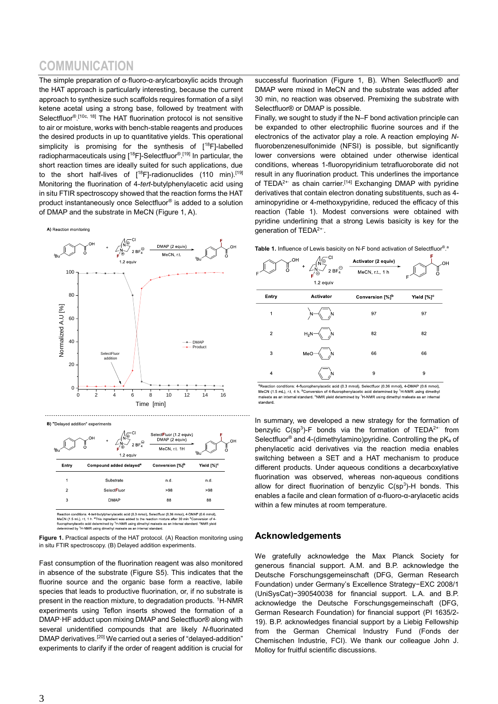# **COMMUNICATION**

The simple preparation of α‑fluoro-α‑arylcarboxylic acids through the HAT approach is particularly interesting, because the current approach to synthesize such scaffolds requires formation of a silyl ketene acetal using a strong base, followed by treatment with Selectfluor<sup>® [10c, 18]</sup> The HAT fluorination protocol is not sensitive to air or moisture, works with bench-stable reagents and produces the desired products in up to quantitative yields. This operational simplicity is promising for the synthesis of  $[18F]$ -labelled radiopharmaceuticals using [<sup>18</sup>F]-Selectfluor®.<sup>[19]</sup> In particular, the short reaction times are ideally suited for such applications, due to the short half-lives of [<sup>18</sup>F]-radionuclides (110 min).<sup>[19]</sup> Monitoring the fluorination of 4-*tert*-butylphenylacetic acid using in situ FTIR spectroscopy showed that the reaction forms the HAT product instantaneously once Selectfluor® is added to a solution of DMAP and the substrate in MeCN (Figure 1, A).

A) Reaction monitoring



B) "Delaved addition" experiments

| <sup>f</sup> Bu | ŇΩ<br>OH<br>$\ddot{}$<br>2 BF $_{4}^{\ominus}$<br>$F^{\odot}$<br>1.2 equiv | OCIOUR ROLL L.C. OGUIVI<br>DMAP (2 equiv) | ΩI                     |
|-----------------|----------------------------------------------------------------------------|-------------------------------------------|------------------------|
|                 |                                                                            | MeCN, r.t. 1H                             | ʻΒu                    |
| Entry           | Compound added delayed <sup>a</sup>                                        | Conversion [%] <sup>b</sup>               | Yield [%] <sup>c</sup> |
| 1               | Substrate                                                                  | n.d.                                      | n.d.                   |
| $\overline{2}$  | SelectFluor                                                                | >98                                       | >98                    |
| 3               | <b>DMAP</b>                                                                | 88                                        | 88                     |
|                 |                                                                            |                                           |                        |

 $\Lambda$   $\sim$  CI

ion conditions: 4-*tert*-butylphenylacetic acid (0.3 mmol), Selectfluor (0.36 mmol), 4-DMAP (0.6 mmol) MeCN (1.5 mL), r.t, 1 h. <sup>a</sup>This ingredient was added to the reaction mixture after 30 min <sup>b</sup>Conversion of 4-<br>fluorophenyiacetic acid determined by <sup>1</sup>H-NMR using dimethyl mateate as an internal standard. <sup>6</sup>NMR yield<br>det

**Figure 1.** Practical aspects of the HAT protocol. (A) Reaction monitoring using in situ FTIR spectroscopy. (B) Delayed addition experiments.

Fast consumption of the fluorination reagent was also monitored in absence of the substrate (Figure S5). This indicates that the fluorine source and the organic base form a reactive, labile species that leads to productive fluorination, or, if no substrate is present in the reaction mixture, to degradation products, <sup>1</sup>H-NMR experiments using Teflon inserts showed the formation of a DMAP·HF adduct upon mixing DMAP and Selectfluor® along with several unidentified compounds that are likely *N*-fluorinated DMAP derivatives.<sup>[20]</sup> We carried out a series of "delayed-addition" experiments to clarify if the order of reagent addition is crucial for successful fluorination (Figure 1, B). When Selectfluor<sup>®</sup> and DMAP were mixed in MeCN and the substrate was added after 30 min, no reaction was observed. Premixing the substrate with Selectfluor® or DMAP is possible.

Finally, we sought to study if the N–F bond activation principle can be expanded to other electrophilic fluorine sources and if the electronics of the activator play a role. A reaction employing *N*fluorobenzenesulfonimide (NFSI) is possible, but significantly lower conversions were obtained under otherwise identical conditions, whereas 1-fluoropyridinium tetrafluoroborate did not result in any fluorination product. This underlines the importance of TEDA<sup>2+∙</sup> as chain carrier.<sup>[14]</sup> Exchanging DMAP with pyridine derivatives that contain electron donating substituents, such as 4 aminopyridine or 4-methoxypyridine, reduced the efficacy of this reaction (Table 1). Modest conversions were obtained with pyridine underlining that a strong Lewis basicity is key for the generation of TEDA<sup>2+</sup><sup>∙</sup>.



<sup>a</sup>Reaction conditions: 4-fluorophenylacetic acid (0.3 mmol). Selectfluor (0.36 mmol). 4-DMAP (0.6 mmol). standard

In summary, we developed a new strategy for the formation of benzylic  $C(sp^3)$ -F bonds via the formation of TEDA<sup>2+</sup> from Selectfluor<sup>®</sup> and 4-(dimethylamino)pyridine. Controlling the pK<sub>a</sub> of phenylacetic acid derivatives via the reaction media enables switching between a SET and a HAT mechanism to produce different products. Under aqueous conditions a decarboxylative fluorination was observed, whereas non-aqueous conditions allow for direct fluorination of benzylic  $C(sp^3)$ -H bonds. This enables a facile and clean formation of α-fluoro-α-arylacetic acids within a few minutes at room temperature.

#### **Acknowledgements**

We gratefully acknowledge the Max Planck Society for generous financial support. A.M. and B.P. acknowledge the Deutsche Forschungsgemeinschaft (DFG, German Research Foundation) under Germany's Excellence Strategy−EXC 2008/1 (UniSysCat)−390540038 for financial support. L.A. and B.P. acknowledge the Deutsche Forschungsgemeinschaft (DFG, German Research Foundation) for financial support (PI 1635/2- 19). B.P. acknowledges financial support by a Liebig Fellowship from the German Chemical Industry Fund (Fonds der Chemischen Industrie, FCI). We thank our colleague John J. Molloy for fruitful scientific discussions.